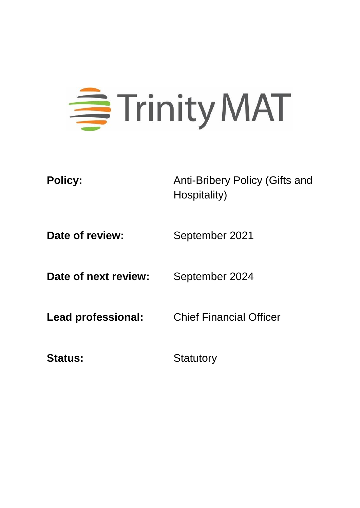# 三<br>Trinity MAT

**Policy:** Anti-Bribery Policy (Gifts and Hospitality)

**Date of review:** September 2021

**Date of next review:** September 2024

**Lead professional:** Chief Financial Officer

Status: Statutory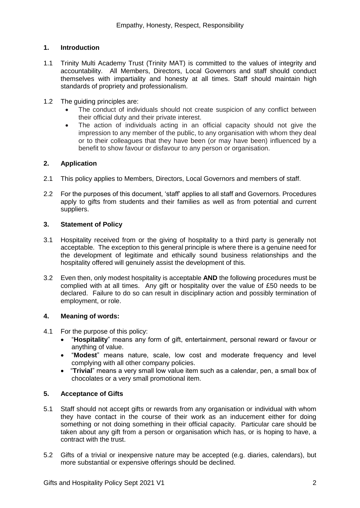# **1. Introduction**

- 1.1 Trinity Multi Academy Trust (Trinity MAT) is committed to the values of integrity and accountability. All Members, Directors, Local Governors and staff should conduct themselves with impartiality and honesty at all times. Staff should maintain high standards of propriety and professionalism.
- 1.2 The guiding principles are:
	- The conduct of individuals should not create suspicion of any conflict between their official duty and their private interest.
	- The action of individuals acting in an official capacity should not give the impression to any member of the public, to any organisation with whom they deal or to their colleagues that they have been (or may have been) influenced by a benefit to show favour or disfavour to any person or organisation.

# **2. Application**

- 2.1 This policy applies to Members, Directors, Local Governors and members of staff.
- 2.2 For the purposes of this document, 'staff' applies to all staff and Governors. Procedures apply to gifts from students and their families as well as from potential and current suppliers.

# **3. Statement of Policy**

- 3.1 Hospitality received from or the giving of hospitality to a third party is generally not acceptable. The exception to this general principle is where there is a genuine need for the development of legitimate and ethically sound business relationships and the hospitality offered will genuinely assist the development of this.
- 3.2 Even then, only modest hospitality is acceptable **AND** the following procedures must be complied with at all times. Any gift or hospitality over the value of £50 needs to be declared. Failure to do so can result in disciplinary action and possibly termination of employment, or role.

#### **4. Meaning of words:**

- 4.1 For the purpose of this policy:
	- "**Hospitality**" means any form of gift, entertainment, personal reward or favour or anything of value.
	- "**Modest**" means nature, scale, low cost and moderate frequency and level complying with all other company policies.
	- "**Trivial**" means a very small low value item such as a calendar, pen, a small box of chocolates or a very small promotional item.

#### **5. Acceptance of Gifts**

- 5.1 Staff should not accept gifts or rewards from any organisation or individual with whom they have contact in the course of their work as an inducement either for doing something or not doing something in their official capacity. Particular care should be taken about any gift from a person or organisation which has, or is hoping to have, a contract with the trust.
- 5.2 Gifts of a trivial or inexpensive nature may be accepted (e.g. diaries, calendars), but more substantial or expensive offerings should be declined.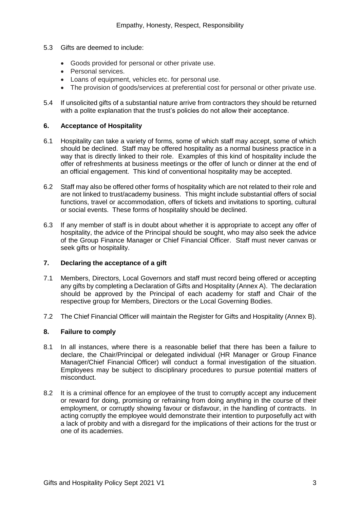- 5.3 Gifts are deemed to include:
	- Goods provided for personal or other private use.
	- Personal services.
	- Loans of equipment, vehicles etc. for personal use.
	- The provision of goods/services at preferential cost for personal or other private use.
- 5.4 If unsolicited gifts of a substantial nature arrive from contractors they should be returned with a polite explanation that the trust's policies do not allow their acceptance.

#### **6. Acceptance of Hospitality**

- 6.1 Hospitality can take a variety of forms, some of which staff may accept, some of which should be declined. Staff may be offered hospitality as a normal business practice in a way that is directly linked to their role. Examples of this kind of hospitality include the offer of refreshments at business meetings or the offer of lunch or dinner at the end of an official engagement. This kind of conventional hospitality may be accepted.
- 6.2 Staff may also be offered other forms of hospitality which are not related to their role and are not linked to trust/academy business. This might include substantial offers of social functions, travel or accommodation, offers of tickets and invitations to sporting, cultural or social events. These forms of hospitality should be declined.
- 6.3 If any member of staff is in doubt about whether it is appropriate to accept any offer of hospitality, the advice of the Principal should be sought, who may also seek the advice of the Group Finance Manager or Chief Financial Officer. Staff must never canvas or seek gifts or hospitality.

# **7. Declaring the acceptance of a gift**

- 7.1 Members, Directors, Local Governors and staff must record being offered or accepting any gifts by completing a Declaration of Gifts and Hospitality (Annex A). The declaration should be approved by the Principal of each academy for staff and Chair of the respective group for Members, Directors or the Local Governing Bodies.
- 7.2 The Chief Financial Officer will maintain the Register for Gifts and Hospitality (Annex B).

#### **8. Failure to comply**

- 8.1 In all instances, where there is a reasonable belief that there has been a failure to declare, the Chair/Principal or delegated individual (HR Manager or Group Finance Manager/Chief Financial Officer) will conduct a formal investigation of the situation. Employees may be subject to disciplinary procedures to pursue potential matters of misconduct.
- 8.2 It is a criminal offence for an employee of the trust to corruptly accept any inducement or reward for doing, promising or refraining from doing anything in the course of their employment, or corruptly showing favour or disfavour, in the handling of contracts. In acting corruptly the employee would demonstrate their intention to purposefully act with a lack of probity and with a disregard for the implications of their actions for the trust or one of its academies.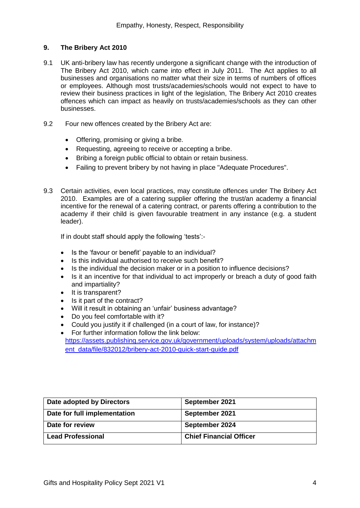#### **9. The Bribery Act 2010**

- 9.1 UK anti-bribery law has recently undergone a significant change with the introduction of The Bribery Act 2010, which came into effect in July 2011. The Act applies to all businesses and organisations no matter what their size in terms of numbers of offices or employees. Although most trusts/academies/schools would not expect to have to review their business practices in light of the legislation, The Bribery Act 2010 creates offences which can impact as heavily on trusts/academies/schools as they can other businesses.
- 9.2 Four new offences created by the Bribery Act are:
	- Offering, promising or giving a bribe.
	- Requesting, agreeing to receive or accepting a bribe.
	- Bribing a foreign public official to obtain or retain business.
	- Failing to prevent bribery by not having in place "Adequate Procedures".
- 9.3 Certain activities, even local practices, may constitute offences under The Bribery Act 2010. Examples are of a catering supplier offering the trust/an academy a financial incentive for the renewal of a catering contract, or parents offering a contribution to the academy if their child is given favourable treatment in any instance (e.g. a student leader).

If in doubt staff should apply the following 'tests':-

- Is the 'favour or benefit' payable to an individual?
- Is this individual authorised to receive such benefit?
- Is the individual the decision maker or in a position to influence decisions?
- Is it an incentive for that individual to act improperly or breach a duty of good faith and impartiality?
- It is transparent?
- Is it part of the contract?
- Will it result in obtaining an 'unfair' business advantage?
- Do you feel comfortable with it?
- Could you justify it if challenged (in a court of law, for instance)?
- For further information follow the link below: [https://assets.publishing.service.gov.uk/government/uploads/system/uploads/attachm](https://assets.publishing.service.gov.uk/government/uploads/system/uploads/attachment_data/file/832012/bribery-act-2010-quick-start-guide.pdf) ent\_data/file/832012/bribery-act-2010-quick-start-quide.pdf

| Date adopted by Directors    | September 2021                 |
|------------------------------|--------------------------------|
| Date for full implementation | September 2021                 |
| Date for review              | September 2024                 |
| <b>Lead Professional</b>     | <b>Chief Financial Officer</b> |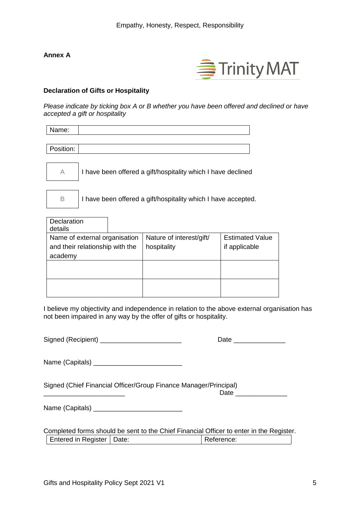# **Annex A**



#### **Declaration of Gifts or Hospitality**

*Please indicate by ticking box A or B whether you have been offered and declined or have accepted a gift or hospitality*

| Name:                                                              |                                                              |                        |  |  |
|--------------------------------------------------------------------|--------------------------------------------------------------|------------------------|--|--|
| Position:                                                          |                                                              |                        |  |  |
| $\forall$                                                          | I have been offered a gift/hospitality which I have declined |                        |  |  |
| B<br>I have been offered a gift/hospitality which I have accepted. |                                                              |                        |  |  |
| Declaration<br>details                                             |                                                              |                        |  |  |
| Name of external organisation                                      | Nature of interest/gift/                                     | <b>Estimated Value</b> |  |  |
| and their relationship with the<br>academy                         | hospitality                                                  | if applicable          |  |  |
|                                                                    |                                                              |                        |  |  |
|                                                                    |                                                              |                        |  |  |
|                                                                    |                                                              |                        |  |  |

| Signed (Recipient) |  |
|--------------------|--|
|--------------------|--|

| ◡<br>--- |  |
|----------|--|
|          |  |

Name (Capitals) \_\_\_\_\_\_\_\_\_\_\_\_\_\_\_\_\_\_\_\_\_\_\_\_

Signed (Chief Financial Officer/Group Finance Manager/Principal) \_\_\_\_\_\_\_\_\_\_\_\_\_\_\_\_\_\_\_\_\_\_ Date \_\_\_\_\_\_\_\_\_\_\_\_\_\_

Name (Capitals) \_\_\_\_\_\_\_\_\_\_\_\_\_\_\_\_\_\_\_\_\_\_\_\_

|                             | Completed forms should be sent to the Chief Financial Officer to enter in the Register. |
|-----------------------------|-----------------------------------------------------------------------------------------|
| Entered in Register   Date: | Reference:                                                                              |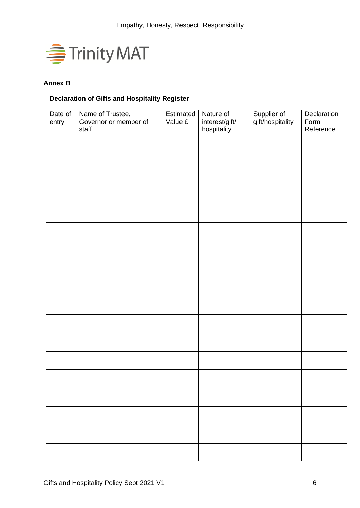

# **Annex B**

# **Declaration of Gifts and Hospitality Register**

| Date of | Name of Trustee,      | Estimated | Nature of      |                                 | Declaration |
|---------|-----------------------|-----------|----------------|---------------------------------|-------------|
| entry   | Governor or member of | Value £   | interest/gift/ | Supplier of<br>gift/hospitality | Form        |
|         | staff                 |           | hospitality    |                                 | Reference   |
|         |                       |           |                |                                 |             |
|         |                       |           |                |                                 |             |
|         |                       |           |                |                                 |             |
|         |                       |           |                |                                 |             |
|         |                       |           |                |                                 |             |
|         |                       |           |                |                                 |             |
|         |                       |           |                |                                 |             |
|         |                       |           |                |                                 |             |
|         |                       |           |                |                                 |             |
|         |                       |           |                |                                 |             |
|         |                       |           |                |                                 |             |
|         |                       |           |                |                                 |             |
|         |                       |           |                |                                 |             |
|         |                       |           |                |                                 |             |
|         |                       |           |                |                                 |             |
|         |                       |           |                |                                 |             |
|         |                       |           |                |                                 |             |
|         |                       |           |                |                                 |             |
|         |                       |           |                |                                 |             |
|         |                       |           |                |                                 |             |
|         |                       |           |                |                                 |             |
|         |                       |           |                |                                 |             |
|         |                       |           |                |                                 |             |
|         |                       |           |                |                                 |             |
|         |                       |           |                |                                 |             |
|         |                       |           |                |                                 |             |
|         |                       |           |                |                                 |             |
|         |                       |           |                |                                 |             |
|         |                       |           |                |                                 |             |
|         |                       |           |                |                                 |             |
|         |                       |           |                |                                 |             |
|         |                       |           |                |                                 |             |
|         |                       |           |                |                                 |             |
|         |                       |           |                |                                 |             |
|         |                       |           |                |                                 |             |
|         |                       |           |                |                                 |             |
|         |                       |           |                |                                 |             |
|         |                       |           |                |                                 |             |
|         |                       |           |                |                                 |             |